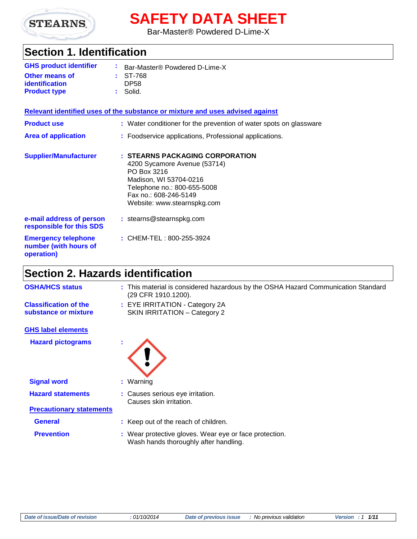

# **SAFETY DATA SHEET**

Bar-Master® Powdered D-Lime-X

# **Section 1. Identification**

| <b>GHS product identifier</b> | <b>E</b> Bar-Master <sup>®</sup> Powdered D-Lime-X |
|-------------------------------|----------------------------------------------------|
| <b>Other means of</b>         | $:$ ST-768                                         |
| identification                | DP <sub>58</sub>                                   |
| <b>Product type</b>           | $\therefore$ Solid.                                |

#### **Relevant identified uses of the substance or mixture and uses advised against**

| <b>Product use</b><br><b>Area of application</b>                  | : Water conditioner for the prevention of water spots on glassware<br>: Foodservice applications, Professional applications.                                                                    |
|-------------------------------------------------------------------|-------------------------------------------------------------------------------------------------------------------------------------------------------------------------------------------------|
| <b>Supplier/Manufacturer</b>                                      | : STEARNS PACKAGING CORPORATION<br>4200 Sycamore Avenue (53714)<br>PO Box 3216<br>Madison, WI 53704-0216<br>Telephone no.: 800-655-5008<br>Fax no.: 608-246-5149<br>Website: www.stearnspkg.com |
| e-mail address of person<br>responsible for this SDS              | : stearns@stearnspkg.com                                                                                                                                                                        |
| <b>Emergency telephone</b><br>number (with hours of<br>operation) | : CHEM-TEL: 800-255-3924                                                                                                                                                                        |

# **Section 2. Hazards identification**

| <b>OSHA/HCS status</b>                               | : This material is considered hazardous by the OSHA Hazard Communication Standard<br>(29 CFR 1910.1200). |
|------------------------------------------------------|----------------------------------------------------------------------------------------------------------|
| <b>Classification of the</b><br>substance or mixture | : EYE IRRITATION - Category 2A<br><b>SKIN IRRITATION - Category 2</b>                                    |
| <b>GHS label elements</b>                            |                                                                                                          |
|                                                      |                                                                                                          |
| <b>Hazard pictograms</b>                             |                                                                                                          |
| <b>Signal word</b>                                   | $:$ Warning                                                                                              |
| <b>Hazard statements</b>                             | : Causes serious eye irritation.<br>Causes skin irritation.                                              |
| <b>Precautionary statements</b>                      |                                                                                                          |
| <b>General</b>                                       | : Keep out of the reach of children.                                                                     |
| <b>Prevention</b>                                    | : Wear protective gloves. Wear eye or face protection.<br>Wash hands thoroughly after handling.          |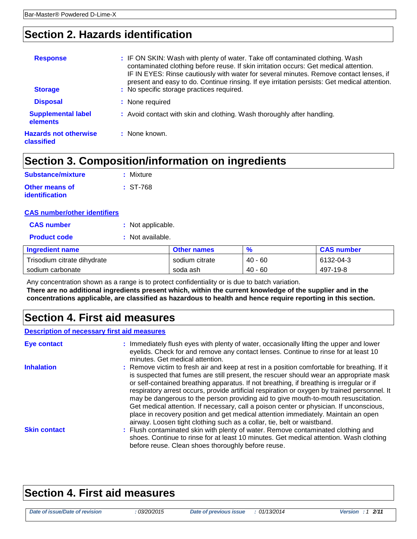# **Section 2. Hazards identification**

| <b>Response</b><br><b>Storage</b>          | : IF ON SKIN: Wash with plenty of water. Take off contaminated clothing. Wash<br>contaminated clothing before reuse. If skin irritation occurs: Get medical attention.<br>IF IN EYES: Rinse cautiously with water for several minutes. Remove contact lenses, if<br>present and easy to do. Continue rinsing. If eye irritation persists: Get medical attention.<br>: No specific storage practices required. |
|--------------------------------------------|---------------------------------------------------------------------------------------------------------------------------------------------------------------------------------------------------------------------------------------------------------------------------------------------------------------------------------------------------------------------------------------------------------------|
| <b>Disposal</b>                            | : None required                                                                                                                                                                                                                                                                                                                                                                                               |
| <b>Supplemental label</b><br>elements      | : Avoid contact with skin and clothing. Wash thoroughly after handling.                                                                                                                                                                                                                                                                                                                                       |
| <b>Hazards not otherwise</b><br>classified | : None known.                                                                                                                                                                                                                                                                                                                                                                                                 |

# **Section 3. Composition/information on ingredients**

| : Mixture  |
|------------|
| $: ST-768$ |
|            |

### **CAS number/other identifiers**

| <b>CAS number</b> | : Not applicable. |
|-------------------|-------------------|
|-------------------|-------------------|

| <b>Product code</b> | : Not available. |
|---------------------|------------------|
|                     |                  |

| <b>Ingredient name</b>      | <b>Other names</b> | $\frac{9}{6}$ | <b>CAS number</b> |
|-----------------------------|--------------------|---------------|-------------------|
| Trisodium citrate dihydrate | sodium citrate     | $40 - 60$     | $6132 - 04 - 3$   |
| sodium carbonate            | soda ash           | $40 - 60$     | 497-19-8          |

Any concentration shown as a range is to protect confidentiality or is due to batch variation. **There are no additional ingredients present which, within the current knowledge of the supplier and in the concentrations applicable, are classified as hazardous to health and hence require reporting in this section.**

## **Section 4. First aid measures**

### **Description of necessary first aid measures**

| Eye contact         | : Immediately flush eyes with plenty of water, occasionally lifting the upper and lower<br>eyelids. Check for and remove any contact lenses. Continue to rinse for at least 10<br>minutes. Get medical attention.                                                                                                                                                                                                                                                                                                                                                                                                                                                                                                                    |
|---------------------|--------------------------------------------------------------------------------------------------------------------------------------------------------------------------------------------------------------------------------------------------------------------------------------------------------------------------------------------------------------------------------------------------------------------------------------------------------------------------------------------------------------------------------------------------------------------------------------------------------------------------------------------------------------------------------------------------------------------------------------|
| <b>Inhalation</b>   | : Remove victim to fresh air and keep at rest in a position comfortable for breathing. If it<br>is suspected that fumes are still present, the rescuer should wear an appropriate mask<br>or self-contained breathing apparatus. If not breathing, if breathing is irregular or if<br>respiratory arrest occurs, provide artificial respiration or oxygen by trained personnel. It<br>may be dangerous to the person providing aid to give mouth-to-mouth resuscitation.<br>Get medical attention. If necessary, call a poison center or physician. If unconscious,<br>place in recovery position and get medical attention immediately. Maintain an open<br>airway. Loosen tight clothing such as a collar, tie, belt or waistband. |
| <b>Skin contact</b> | : Flush contaminated skin with plenty of water. Remove contaminated clothing and<br>shoes. Continue to rinse for at least 10 minutes. Get medical attention. Wash clothing<br>before reuse. Clean shoes thoroughly before reuse.                                                                                                                                                                                                                                                                                                                                                                                                                                                                                                     |

# **Section 4. First aid measures**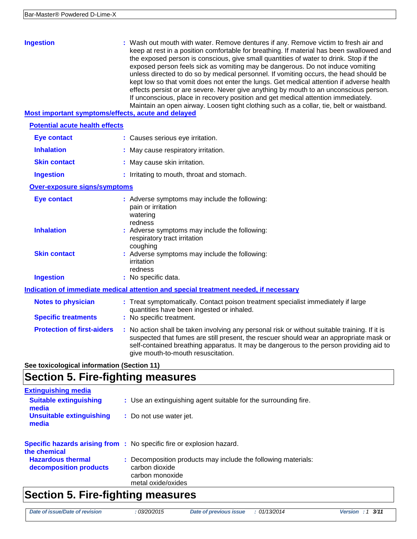| <b>Ingestion</b><br>Most important symptoms/effects, acute and delayed | : Wash out mouth with water. Remove dentures if any. Remove victim to fresh air and<br>keep at rest in a position comfortable for breathing. If material has been swallowed and<br>the exposed person is conscious, give small quantities of water to drink. Stop if the<br>exposed person feels sick as vomiting may be dangerous. Do not induce vomiting<br>unless directed to do so by medical personnel. If vomiting occurs, the head should be<br>kept low so that vomit does not enter the lungs. Get medical attention if adverse health<br>effects persist or are severe. Never give anything by mouth to an unconscious person.<br>If unconscious, place in recovery position and get medical attention immediately.<br>Maintain an open airway. Loosen tight clothing such as a collar, tie, belt or waistband. |
|------------------------------------------------------------------------|---------------------------------------------------------------------------------------------------------------------------------------------------------------------------------------------------------------------------------------------------------------------------------------------------------------------------------------------------------------------------------------------------------------------------------------------------------------------------------------------------------------------------------------------------------------------------------------------------------------------------------------------------------------------------------------------------------------------------------------------------------------------------------------------------------------------------|
| <b>Potential acute health effects</b>                                  |                                                                                                                                                                                                                                                                                                                                                                                                                                                                                                                                                                                                                                                                                                                                                                                                                           |
| <b>Eye contact</b>                                                     | : Causes serious eye irritation.                                                                                                                                                                                                                                                                                                                                                                                                                                                                                                                                                                                                                                                                                                                                                                                          |
| <b>Inhalation</b>                                                      | : May cause respiratory irritation.                                                                                                                                                                                                                                                                                                                                                                                                                                                                                                                                                                                                                                                                                                                                                                                       |
| <b>Skin contact</b>                                                    | : May cause skin irritation.                                                                                                                                                                                                                                                                                                                                                                                                                                                                                                                                                                                                                                                                                                                                                                                              |
| <b>Ingestion</b>                                                       | : Irritating to mouth, throat and stomach.                                                                                                                                                                                                                                                                                                                                                                                                                                                                                                                                                                                                                                                                                                                                                                                |
| <b>Over-exposure signs/symptoms</b>                                    |                                                                                                                                                                                                                                                                                                                                                                                                                                                                                                                                                                                                                                                                                                                                                                                                                           |
| <b>Eye contact</b>                                                     | : Adverse symptoms may include the following:<br>pain or irritation<br>watering<br>redness                                                                                                                                                                                                                                                                                                                                                                                                                                                                                                                                                                                                                                                                                                                                |
| <b>Inhalation</b>                                                      | : Adverse symptoms may include the following:<br>respiratory tract irritation<br>coughing                                                                                                                                                                                                                                                                                                                                                                                                                                                                                                                                                                                                                                                                                                                                 |
| <b>Skin contact</b>                                                    | : Adverse symptoms may include the following:<br>irritation<br>redness                                                                                                                                                                                                                                                                                                                                                                                                                                                                                                                                                                                                                                                                                                                                                    |
| <b>Ingestion</b>                                                       | : No specific data.                                                                                                                                                                                                                                                                                                                                                                                                                                                                                                                                                                                                                                                                                                                                                                                                       |
|                                                                        | Indication of immediate medical attention and special treatment needed, if necessary                                                                                                                                                                                                                                                                                                                                                                                                                                                                                                                                                                                                                                                                                                                                      |
| <b>Notes to physician</b>                                              | : Treat symptomatically. Contact poison treatment specialist immediately if large<br>quantities have been ingested or inhaled.                                                                                                                                                                                                                                                                                                                                                                                                                                                                                                                                                                                                                                                                                            |
| <b>Specific treatments</b>                                             | : No specific treatment.                                                                                                                                                                                                                                                                                                                                                                                                                                                                                                                                                                                                                                                                                                                                                                                                  |
| <b>Protection of first-aiders</b>                                      | : No action shall be taken involving any personal risk or without suitable training. If it is<br>suspected that fumes are still present, the rescuer should wear an appropriate mask or<br>self-contained breathing apparatus. It may be dangerous to the person providing aid to<br>give mouth-to-mouth resuscitation.                                                                                                                                                                                                                                                                                                                                                                                                                                                                                                   |
| See toxicological information (Section 11)                             |                                                                                                                                                                                                                                                                                                                                                                                                                                                                                                                                                                                                                                                                                                                                                                                                                           |

# **Section 5. Fire-fighting measures**

| <b>Extinguishing media</b>                         |                                                                                                                          |
|----------------------------------------------------|--------------------------------------------------------------------------------------------------------------------------|
| <b>Suitable extinguishing</b><br>media             | : Use an extinguishing agent suitable for the surrounding fire.                                                          |
| <b>Unsuitable extinguishing</b><br>media           | : Do not use water jet.                                                                                                  |
| the chemical                                       | <b>Specific hazards arising from :</b> No specific fire or explosion hazard.                                             |
| <b>Hazardous thermal</b><br>decomposition products | : Decomposition products may include the following materials:<br>carbon dioxide<br>carbon monoxide<br>metal oxide/oxides |

# **Section 5. Fire-fighting measures**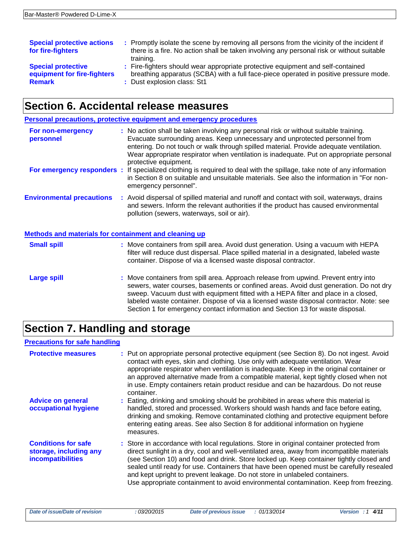| <b>Special protective actions</b><br>for fire-fighters | : Promptly isolate the scene by removing all persons from the vicinity of the incident if<br>there is a fire. No action shall be taken involving any personal risk or without suitable<br>training. |
|--------------------------------------------------------|-----------------------------------------------------------------------------------------------------------------------------------------------------------------------------------------------------|
| <b>Special protective</b>                              | : Fire-fighters should wear appropriate protective equipment and self-contained                                                                                                                     |
| equipment for fire-fighters                            | breathing apparatus (SCBA) with a full face-piece operated in positive pressure mode.                                                                                                               |
| <b>Remark</b>                                          | : Dust explosion class: St1                                                                                                                                                                         |

## **Section 6. Accidental release measures**

|                                  | Personal precautions, protective equipment and emergency procedures                                                                                                                                                                                                                                                                                                               |
|----------------------------------|-----------------------------------------------------------------------------------------------------------------------------------------------------------------------------------------------------------------------------------------------------------------------------------------------------------------------------------------------------------------------------------|
| For non-emergency<br>personnel   | : No action shall be taken involving any personal risk or without suitable training.<br>Evacuate surrounding areas. Keep unnecessary and unprotected personnel from<br>entering. Do not touch or walk through spilled material. Provide adequate ventilation.<br>Wear appropriate respirator when ventilation is inadequate. Put on appropriate personal<br>protective equipment. |
|                                  | For emergency responders : If specialized clothing is required to deal with the spillage, take note of any information<br>in Section 8 on suitable and unsuitable materials. See also the information in "For non-<br>emergency personnel".                                                                                                                                       |
| <b>Environmental precautions</b> | : Avoid dispersal of spilled material and runoff and contact with soil, waterways, drains<br>and sewers. Inform the relevant authorities if the product has caused environmental<br>pollution (sewers, waterways, soil or air).                                                                                                                                                   |

## **Methods and materials for containment and cleaning up Small spill Example 20 Small spill** area. Avoid dust generation. Using a vacuum with HEPA filter will reduce dust dispersal. Place spilled material in a designated, labeled waste container. Dispose of via a licensed waste disposal contractor.

**Large spill Example 20 Set 10 Set 10 Set 10 Set 10 Set 10 Set 10 Set 10 Set 10 Set 10 Set 10 Set 10 Set 10 Set 10 Set 10 Set 10 Set 10 Set 10 Set 10 Set 10 Set 10 Set 10 Set 10 Set 10 Set 10 Set 10 Set 10 Set 10 Set 10** sewers, water courses, basements or confined areas. Avoid dust generation. Do not dry sweep. Vacuum dust with equipment fitted with a HEPA filter and place in a closed, labeled waste container. Dispose of via a licensed waste disposal contractor. Note: see Section 1 for emergency contact information and Section 13 for waste disposal.

# **Section 7. Handling and storage**

### **Precautions for safe handling**

| <b>Protective measures</b>                                                       | : Put on appropriate personal protective equipment (see Section 8). Do not ingest. Avoid<br>contact with eyes, skin and clothing. Use only with adequate ventilation. Wear<br>appropriate respirator when ventilation is inadequate. Keep in the original container or<br>an approved alternative made from a compatible material, kept tightly closed when not<br>in use. Empty containers retain product residue and can be hazardous. Do not reuse<br>container.                                                                                |
|----------------------------------------------------------------------------------|----------------------------------------------------------------------------------------------------------------------------------------------------------------------------------------------------------------------------------------------------------------------------------------------------------------------------------------------------------------------------------------------------------------------------------------------------------------------------------------------------------------------------------------------------|
| <b>Advice on general</b><br>occupational hygiene                                 | : Eating, drinking and smoking should be prohibited in areas where this material is<br>handled, stored and processed. Workers should wash hands and face before eating,<br>drinking and smoking. Remove contaminated clothing and protective equipment before<br>entering eating areas. See also Section 8 for additional information on hygiene<br>measures.                                                                                                                                                                                      |
| <b>Conditions for safe</b><br>storage, including any<br><b>incompatibilities</b> | : Store in accordance with local regulations. Store in original container protected from<br>direct sunlight in a dry, cool and well-ventilated area, away from incompatible materials<br>(see Section 10) and food and drink. Store locked up. Keep container tightly closed and<br>sealed until ready for use. Containers that have been opened must be carefully resealed<br>and kept upright to prevent leakage. Do not store in unlabeled containers.<br>Use appropriate containment to avoid environmental contamination. Keep from freezing. |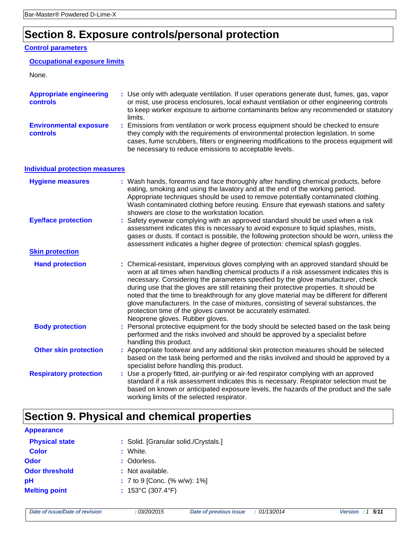# **Section 8. Exposure controls/personal protection**

### **Control parameters**

### **Occupational exposure limits**

#### None.

| <b>Appropriate engineering</b><br>controls       | : Use only with adequate ventilation. If user operations generate dust, fumes, gas, vapor<br>or mist, use process enclosures, local exhaust ventilation or other engineering controls<br>to keep worker exposure to airborne contaminants below any recommended or statutory<br>limits.                                         |
|--------------------------------------------------|---------------------------------------------------------------------------------------------------------------------------------------------------------------------------------------------------------------------------------------------------------------------------------------------------------------------------------|
| <b>Environmental exposure</b><br><b>controls</b> | : Emissions from ventilation or work process equipment should be checked to ensure<br>they comply with the requirements of environmental protection legislation. In some<br>cases, fume scrubbers, filters or engineering modifications to the process equipment will<br>be necessary to reduce emissions to acceptable levels. |

### **Individual protection measures**

| <b>Hygiene measures</b>       | : Wash hands, forearms and face thoroughly after handling chemical products, before<br>eating, smoking and using the lavatory and at the end of the working period.<br>Appropriate techniques should be used to remove potentially contaminated clothing.<br>Wash contaminated clothing before reusing. Ensure that eyewash stations and safety<br>showers are close to the workstation location.                                                                                                                                                                                                                                                         |
|-------------------------------|-----------------------------------------------------------------------------------------------------------------------------------------------------------------------------------------------------------------------------------------------------------------------------------------------------------------------------------------------------------------------------------------------------------------------------------------------------------------------------------------------------------------------------------------------------------------------------------------------------------------------------------------------------------|
| <b>Eye/face protection</b>    | : Safety eyewear complying with an approved standard should be used when a risk<br>assessment indicates this is necessary to avoid exposure to liquid splashes, mists,<br>gases or dusts. If contact is possible, the following protection should be worn, unless the<br>assessment indicates a higher degree of protection: chemical splash goggles.                                                                                                                                                                                                                                                                                                     |
| <b>Skin protection</b>        |                                                                                                                                                                                                                                                                                                                                                                                                                                                                                                                                                                                                                                                           |
| <b>Hand protection</b>        | : Chemical-resistant, impervious gloves complying with an approved standard should be<br>worn at all times when handling chemical products if a risk assessment indicates this is<br>necessary. Considering the parameters specified by the glove manufacturer, check<br>during use that the gloves are still retaining their protective properties. It should be<br>noted that the time to breakthrough for any glove material may be different for different<br>glove manufacturers. In the case of mixtures, consisting of several substances, the<br>protection time of the gloves cannot be accurately estimated.<br>Neoprene gloves. Rubber gloves. |
| <b>Body protection</b>        | : Personal protective equipment for the body should be selected based on the task being<br>performed and the risks involved and should be approved by a specialist before<br>handling this product.                                                                                                                                                                                                                                                                                                                                                                                                                                                       |
| <b>Other skin protection</b>  | : Appropriate footwear and any additional skin protection measures should be selected<br>based on the task being performed and the risks involved and should be approved by a<br>specialist before handling this product.                                                                                                                                                                                                                                                                                                                                                                                                                                 |
| <b>Respiratory protection</b> | : Use a properly fitted, air-purifying or air-fed respirator complying with an approved<br>standard if a risk assessment indicates this is necessary. Respirator selection must be<br>based on known or anticipated exposure levels, the hazards of the product and the safe<br>working limits of the selected respirator.                                                                                                                                                                                                                                                                                                                                |

# **Section 9. Physical and chemical properties**

| <b>Appearance</b>     |                                        |
|-----------------------|----------------------------------------|
| <b>Physical state</b> | : Solid. [Granular solid./Crystals.]   |
| <b>Color</b>          | : White.                               |
| Odor                  | : Odorless.                            |
| <b>Odor threshold</b> | : Not available.                       |
| рH                    | $: 7$ to 9 [Conc. (% w/w): 1%]         |
| <b>Melting point</b>  | : $153^{\circ}$ C (307.4 $^{\circ}$ F) |
|                       |                                        |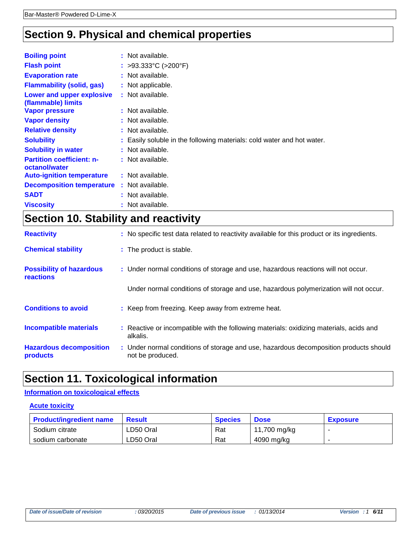# **Section 9. Physical and chemical properties**

| <b>Boiling point</b>                              | : Not available.                                                       |
|---------------------------------------------------|------------------------------------------------------------------------|
| <b>Flash point</b>                                | : >93.333°C (>200°F)                                                   |
| <b>Evaporation rate</b>                           | : Not available.                                                       |
| <b>Flammability (solid, gas)</b>                  | : Not applicable.                                                      |
| Lower and upper explosive<br>(flammable) limits   | : Not available.                                                       |
| <b>Vapor pressure</b>                             | : Not available.                                                       |
| <b>Vapor density</b>                              | : Not available.                                                       |
| <b>Relative density</b>                           | : Not available.                                                       |
| <b>Solubility</b>                                 | : Easily soluble in the following materials: cold water and hot water. |
| <b>Solubility in water</b>                        | : Not available.                                                       |
| <b>Partition coefficient: n-</b><br>octanol/water | : Not available.                                                       |
| <b>Auto-ignition temperature</b>                  | : Not available.                                                       |
| <b>Decomposition temperature</b>                  | : Not available.                                                       |
| <b>SADT</b>                                       | : Not available.                                                       |
| <b>Viscosity</b>                                  | : Not available.                                                       |

# **Section 10. Stability and reactivity**

| <b>Reactivity</b>                            | : No specific test data related to reactivity available for this product or its ingredients.              |
|----------------------------------------------|-----------------------------------------------------------------------------------------------------------|
| <b>Chemical stability</b>                    | : The product is stable.                                                                                  |
| <b>Possibility of hazardous</b><br>reactions | : Under normal conditions of storage and use, hazardous reactions will not occur.                         |
|                                              | Under normal conditions of storage and use, hazardous polymerization will not occur.                      |
| <b>Conditions to avoid</b>                   | : Keep from freezing. Keep away from extreme heat.                                                        |
| <b>Incompatible materials</b>                | : Reactive or incompatible with the following materials: oxidizing materials, acids and<br>alkalis.       |
| <b>Hazardous decomposition</b><br>products   | : Under normal conditions of storage and use, hazardous decomposition products should<br>not be produced. |

# **Section 11. Toxicological information**

### **Information on toxicological effects**

### **Acute toxicity**

| <b>Product/ingredient name</b> | <b>Result</b> | <b>Species</b> | <b>Dose</b>  | <b>Exposure</b> |
|--------------------------------|---------------|----------------|--------------|-----------------|
| Sodium citrate                 | LD50 Oral     | Rat            | 11,700 mg/kg |                 |
| sodium carbonate               | LD50 Oral     | Rat            | 4090 mg/kg   |                 |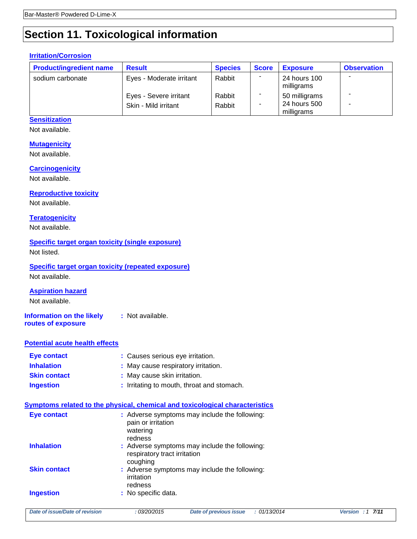# **Section 11. Toxicological information**

## **Irritation/Corrosion**

| <b>Product/ingredient name</b> | <b>Result</b>                                  | <b>Species</b>   | <b>Score</b> | <b>Exposure</b>                             | <b>Observation</b> |
|--------------------------------|------------------------------------------------|------------------|--------------|---------------------------------------------|--------------------|
| sodium carbonate               | Eyes - Moderate irritant                       | Rabbit           |              | 24 hours 100<br>milligrams                  |                    |
|                                | Eyes - Severe irritant<br>Skin - Mild irritant | Rabbit<br>Rabbit |              | 50 milligrams<br>24 hours 500<br>milligrams |                    |

## **Sensitization**

Not available.

### **Mutagenicity**

Not available.

### **Carcinogenicity**

Not available.

## **Reproductive toxicity**

Not available.

### **Teratogenicity**

Not available.

## **Specific target organ toxicity (single exposure)**

Not listed.

## **Specific target organ toxicity (repeated exposure)**

Not available.

### **Aspiration hazard**

Not available.

#### **Information on the likely routes of exposure :** Not available.

### **Potential acute health effects**

| Eye contact         | : Causes serious eye irritation.           |
|---------------------|--------------------------------------------|
| <b>Inhalation</b>   | : May cause respiratory irritation.        |
| <b>Skin contact</b> | : May cause skin irritation.               |
| <b>Ingestion</b>    | : Irritating to mouth, throat and stomach. |

### **Symptoms related to the physical, chemical and toxicological characteristics**

| Eye contact         | : Adverse symptoms may include the following:<br>pain or irritation<br>watering<br>redness |
|---------------------|--------------------------------------------------------------------------------------------|
| <b>Inhalation</b>   | : Adverse symptoms may include the following:<br>respiratory tract irritation<br>coughing  |
| <b>Skin contact</b> | : Adverse symptoms may include the following:<br>irritation<br>redness                     |
| <b>Ingestion</b>    | : No specific data.                                                                        |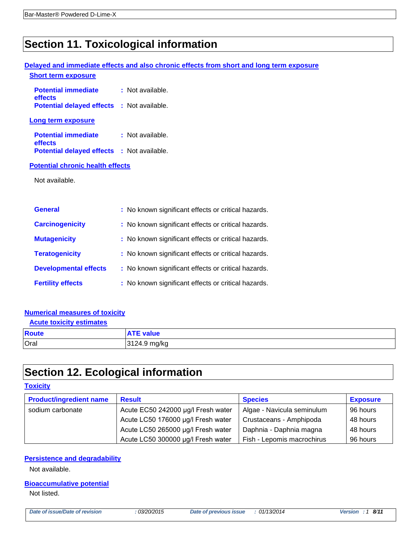# **Section 11. Toxicological information**

## **Delayed and immediate effects and also chronic effects from short and long term exposure Short term exposure**

| <b>Potential immediate</b><br>effects             | : Not available. |
|---------------------------------------------------|------------------|
| <b>Potential delayed effects : Not available.</b> |                  |
| Long term exposure                                |                  |
| <b>Potential immediate</b><br>effects             | : Not available. |
| <b>Potential delayed effects : Not available.</b> |                  |

#### **Potential chronic health effects**

Not available.

| <b>General</b>               | : No known significant effects or critical hazards. |
|------------------------------|-----------------------------------------------------|
| <b>Carcinogenicity</b>       | : No known significant effects or critical hazards. |
| <b>Mutagenicity</b>          | : No known significant effects or critical hazards. |
| <b>Teratogenicity</b>        | : No known significant effects or critical hazards. |
| <b>Developmental effects</b> | : No known significant effects or critical hazards. |
| <b>Fertility effects</b>     | : No known significant effects or critical hazards. |

## **Numerical measures of toxicity**

## **Acute toxicity estimates Route ATE value** Oral 3124.9 mg/kg

# **Section 12. Ecological information**

### **Toxicity**

| <b>Product/ingredient name</b> | <b>Result</b>                      | <b>Species</b>             | <b>Exposure</b> |
|--------------------------------|------------------------------------|----------------------------|-----------------|
| sodium carbonate               | Acute EC50 242000 µg/l Fresh water | Algae - Navicula seminulum | 96 hours        |
|                                | Acute LC50 176000 µg/l Fresh water | Crustaceans - Amphipoda    | 48 hours        |
|                                | Acute LC50 265000 µg/l Fresh water | Daphnia - Daphnia magna    | 48 hours        |
|                                | Acute LC50 300000 µg/l Fresh water | Fish - Lepomis macrochirus | 96 hours        |

### **Persistence and degradability**

Not available.

### **Bioaccumulative potential**

Not listed.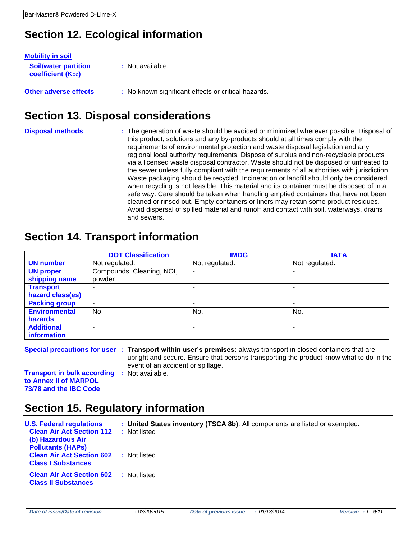# **Section 12. Ecological information**

| <b>Mobility in soil</b>                                 |                                                     |
|---------------------------------------------------------|-----------------------------------------------------|
| <b>Soil/water partition</b><br><b>coefficient (Koc)</b> | : Not available.                                    |
| <b>Other adverse effects</b>                            | : No known significant effects or critical hazards. |

# **Section 13. Disposal considerations**

**Disposal methods :** The generation of waste should be avoided or minimized wherever possible. Disposal of this product, solutions and any by-products should at all times comply with the requirements of environmental protection and waste disposal legislation and any regional local authority requirements. Dispose of surplus and non-recyclable products via a licensed waste disposal contractor. Waste should not be disposed of untreated to the sewer unless fully compliant with the requirements of all authorities with jurisdiction. Waste packaging should be recycled. Incineration or landfill should only be considered when recycling is not feasible. This material and its container must be disposed of in a safe way. Care should be taken when handling emptied containers that have not been cleaned or rinsed out. Empty containers or liners may retain some product residues. Avoid dispersal of spilled material and runoff and contact with soil, waterways, drains and sewers.

## **Section 14. Transport information**

|                      | <b>DOT Classification</b> | <b>IMDG</b>    | <b>IATA</b>    |
|----------------------|---------------------------|----------------|----------------|
| <b>UN number</b>     | Not regulated.            | Not regulated. | Not regulated. |
| <b>UN proper</b>     | Compounds, Cleaning, NOI, | ٠              |                |
| shipping name        | powder.                   |                |                |
| <b>Transport</b>     |                           |                |                |
| hazard class(es)     |                           |                |                |
| <b>Packing group</b> | ۰                         |                | -              |
| <b>Environmental</b> | No.                       | No.            | No.            |
| hazards              |                           |                |                |
| <b>Additional</b>    | -                         |                |                |
| information          |                           |                |                |

**Special precautions for user : Transport within user's premises:** always transport in closed containers that are upright and secure. Ensure that persons transporting the product know what to do in the event of an accident or spillage.

**Transport in bulk according :** Not available. **to Annex II of MARPOL 73/78 and the IBC Code**

# **Section 15. Regulatory information**

| <b>U.S. Federal regulations</b>               | : United States inventory (TSCA 8b): All components are listed or exempted. |
|-----------------------------------------------|-----------------------------------------------------------------------------|
| <b>Clean Air Act Section 112</b>              | : Not listed                                                                |
| (b) Hazardous Air                             |                                                                             |
| <b>Pollutants (HAPs)</b>                      |                                                                             |
| <b>Clean Air Act Section 602 : Not listed</b> |                                                                             |
| <b>Class I Substances</b>                     |                                                                             |
| <b>Clean Air Act Section 602</b>              | : Not listed                                                                |
| <b>Class II Substances</b>                    |                                                                             |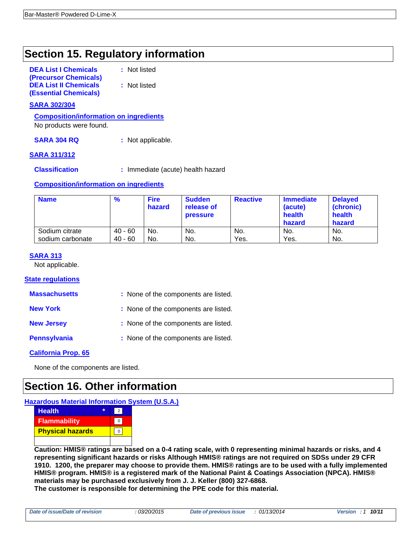# **Section 15. Regulatory information**

| <b>DEA List I Chemicals</b>  |  |
|------------------------------|--|
| (Precursor Chemicals)        |  |
| <b>DEA List II Chemicals</b> |  |
| <b>(Essential Chemicals)</b> |  |

**:** Not listed

**:** Not listed

### **SARA 302/304**

**Composition/information on ingredients**

No products were found.

**SARA 304 RQ :** Not applicable.

### **SARA 311/312**

**Classification :** Immediate (acute) health hazard

### **Composition/information on ingredients**

| <b>Name</b>      | $\frac{9}{6}$ | <b>Fire</b><br>hazard | <b>Sudden</b><br>release of<br><b>pressure</b> | <b>Reactive</b> | <b>Immediate</b><br>(acute)<br>health<br>hazard | <b>Delayed</b><br>(chronic)<br>health<br>hazard |
|------------------|---------------|-----------------------|------------------------------------------------|-----------------|-------------------------------------------------|-------------------------------------------------|
| Sodium citrate   | $40 - 60$     | No.                   | No.                                            | No.             | No.                                             | No.                                             |
| sodium carbonate | $40 - 60$     | No.                   | No.                                            | Yes.            | Yes.                                            | No.                                             |

### **SARA 313**

Not applicable.

#### **State regulations**

| <b>Massachusetts</b> |  | : None of the components are listed. |  |  |
|----------------------|--|--------------------------------------|--|--|
|----------------------|--|--------------------------------------|--|--|

**New York :** None of the components are listed.

**New Jersey :** None of the components are listed.

**Pennsylvania :** None of the components are listed.

### **California Prop. 65**

None of the components are listed.

## **Section 16. Other information**

### **Hazardous Material Information System (U.S.A.)**

| <b>Health</b><br>÷      |  |
|-------------------------|--|
| <b>Flammability</b>     |  |
| <b>Physical hazards</b> |  |
|                         |  |

**Caution: HMIS® ratings are based on a 0-4 rating scale, with 0 representing minimal hazards or risks, and 4 representing significant hazards or risks Although HMIS® ratings are not required on SDSs under 29 CFR 1910. 1200, the preparer may choose to provide them. HMIS® ratings are to be used with a fully implemented HMIS® program. HMIS® is a registered mark of the National Paint & Coatings Association (NPCA). HMIS® materials may be purchased exclusively from J. J. Keller (800) 327-6868.**

**The customer is responsible for determining the PPE code for this material.**